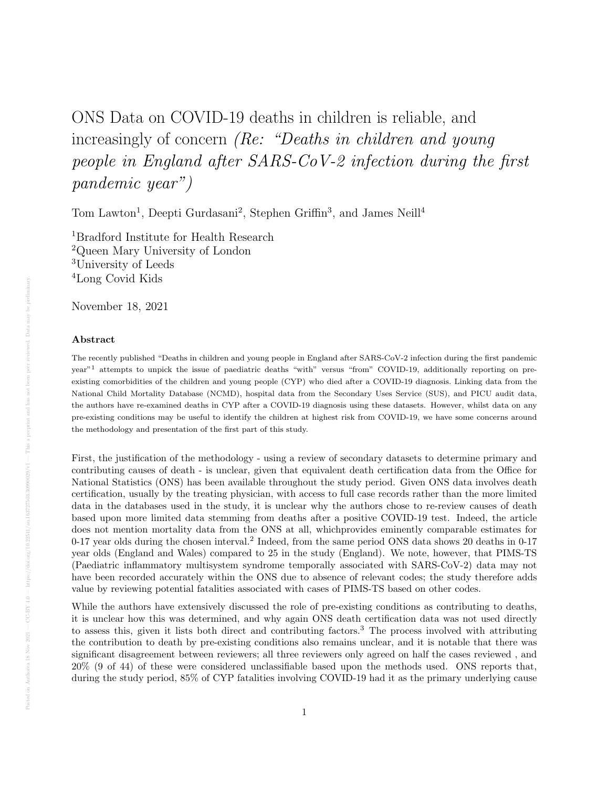# ONS Data on COVID-19 deaths in children is reliable, and increasingly of concern *(Re: "Deaths in children and young* people in England after SARS-CoV-2 infection during the first pandemic year")

Tom Lawton<sup>1</sup>, Deepti Gurdasani<sup>2</sup>, Stephen Griffin<sup>3</sup>, and James Neill<sup>4</sup>

Bradford Institute for Health Research Queen Mary University of London University of Leeds Long Covid Kids

November 18, 2021

#### Abstract

The recently published "Deaths in children and young people in England after SARS-CoV-2 infection during the first pandemic year"<sup>1</sup> attempts to unpick the issue of paediatric deaths "with" versus "from" COVID-19, additionally reporting on preexisting comorbidities of the children and young people (CYP) who died after a COVID-19 diagnosis. Linking data from the National Child Mortality Database (NCMD), hospital data from the Secondary Uses Service (SUS), and PICU audit data, the authors have re-examined deaths in CYP after a COVID-19 diagnosis using these datasets. However, whilst data on any pre-existing conditions may be useful to identify the children at highest risk from COVID-19, we have some concerns around the methodology and presentation of the first part of this study.

First, the justification of the methodology - using a review of secondary datasets to determine primary and contributing causes of death - is unclear, given that equivalent death certification data from the Office for National Statistics (ONS) has been available throughout the study period. Given ONS data involves death certification, usually by the treating physician, with access to full case records rather than the more limited data in the databases used in the study, it is unclear why the authors chose to re-review causes of death based upon more limited data stemming from deaths after a positive COVID-19 test. Indeed, the article does not mention mortality data from the ONS at all, whichprovides eminently comparable estimates for 0-17 year olds during the chosen interval.<sup>2</sup> Indeed, from the same period ONS data shows 20 deaths in 0-17 year olds (England and Wales) compared to 25 in the study (England). We note, however, that PIMS-TS (Paediatric inflammatory multisystem syndrome temporally associated with SARS-CoV-2) data may not have been recorded accurately within the ONS due to absence of relevant codes; the study therefore adds value by reviewing potential fatalities associated with cases of PIMS-TS based on other codes.

While the authors have extensively discussed the role of pre-existing conditions as contributing to deaths, it is unclear how this was determined, and why again ONS death certification data was not used directly to assess this, given it lists both direct and contributing factors.<sup>3</sup> The process involved with attributing the contribution to death by pre-existing conditions also remains unclear, and it is notable that there was significant disagreement between reviewers; all three reviewers only agreed on half the cases reviewed , and 20% (9 of 44) of these were considered unclassifiable based upon the methods used. ONS reports that, during the study period, 85% of CYP fatalities involving COVID-19 had it as the primary underlying cause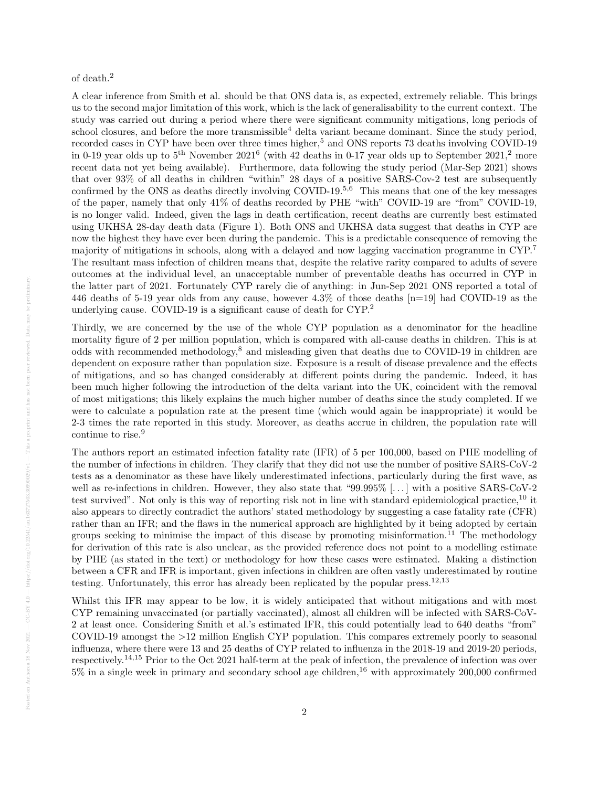### of death.<sup>2</sup>

A clear inference from Smith et al. should be that ONS data is, as expected, extremely reliable. This brings us to the second major limitation of this work, which is the lack of generalisability to the current context. The study was carried out during a period where there were significant community mitigations, long periods of school closures, and before the more transmissible<sup>4</sup> delta variant became dominant. Since the study period, recorded cases in CYP have been over three times higher,<sup>5</sup> and ONS reports 73 deaths involving COVID-19 in 0-19 year olds up to  $5^{\text{th}}$  November 2021<sup>6</sup> (with 42 deaths in 0-17 year olds up to September 2021,<sup>2</sup> more recent data not yet being available). Furthermore, data following the study period (Mar-Sep 2021) shows that over 93% of all deaths in children "within" 28 days of a positive SARS-Cov-2 test are subsequently confirmed by the ONS as deaths directly involving COVID-19.<sup>5,6</sup> This means that one of the key messages of the paper, namely that only 41% of deaths recorded by PHE "with" COVID-19 are "from" COVID-19, is no longer valid. Indeed, given the lags in death certification, recent deaths are currently best estimated using UKHSA 28-day death data (Figure 1). Both ONS and UKHSA data suggest that deaths in CYP are now the highest they have ever been during the pandemic. This is a predictable consequence of removing the majority of mitigations in schools, along with a delayed and now lagging vaccination programme in CYP.<sup>7</sup> The resultant mass infection of children means that, despite the relative rarity compared to adults of severe outcomes at the individual level, an unacceptable number of preventable deaths has occurred in CYP in the latter part of 2021. Fortunately CYP rarely die of anything: in Jun-Sep 2021 ONS reported a total of 446 deaths of 5-19 year olds from any cause, however 4.3% of those deaths [n=19] had COVID-19 as the underlying cause. COVID-19 is a significant cause of death for CYP.<sup>2</sup>

Thirdly, we are concerned by the use of the whole CYP population as a denominator for the headline mortality figure of 2 per million population, which is compared with all-cause deaths in children. This is at odds with recommended methodology,<sup>8</sup> and misleading given that deaths due to COVID-19 in children are dependent on exposure rather than population size. Exposure is a result of disease prevalence and the effects of mitigations, and so has changed considerably at different points during the pandemic. Indeed, it has been much higher following the introduction of the delta variant into the UK, coincident with the removal of most mitigations; this likely explains the much higher number of deaths since the study completed. If we were to calculate a population rate at the present time (which would again be inappropriate) it would be 2-3 times the rate reported in this study. Moreover, as deaths accrue in children, the population rate will continue to rise.<sup>9</sup>

The authors report an estimated infection fatality rate (IFR) of 5 per 100,000, based on PHE modelling of the number of infections in children. They clarify that they did not use the number of positive SARS-CoV-2 tests as a denominator as these have likely underestimated infections, particularly during the first wave, as well as re-infections in children. However, they also state that "99.995% [...] with a positive SARS-CoV-2 test survived". Not only is this way of reporting risk not in line with standard epidemiological practice,<sup>10</sup> it also appears to directly contradict the authors' stated methodology by suggesting a case fatality rate (CFR) rather than an IFR; and the flaws in the numerical approach are highlighted by it being adopted by certain groups seeking to minimise the impact of this disease by promoting misinformation.<sup>11</sup> The methodology for derivation of this rate is also unclear, as the provided reference does not point to a modelling estimate by PHE (as stated in the text) or methodology for how these cases were estimated. Making a distinction between a CFR and IFR is important, given infections in children are often vastly underestimated by routine testing. Unfortunately, this error has already been replicated by the popular press.<sup>12,13</sup>

Whilst this IFR may appear to be low, it is widely anticipated that without mitigations and with most CYP remaining unvaccinated (or partially vaccinated), almost all children will be infected with SARS-CoV-2 at least once. Considering Smith et al.'s estimated IFR, this could potentially lead to 640 deaths "from" COVID-19 amongst the >12 million English CYP population. This compares extremely poorly to seasonal influenza, where there were 13 and 25 deaths of CYP related to influenza in the 2018-19 and 2019-20 periods, respectively.14,15 Prior to the Oct 2021 half-term at the peak of infection, the prevalence of infection was over  $5\%$  in a single week in primary and secondary school age children,<sup>16</sup> with approximately 200,000 confirmed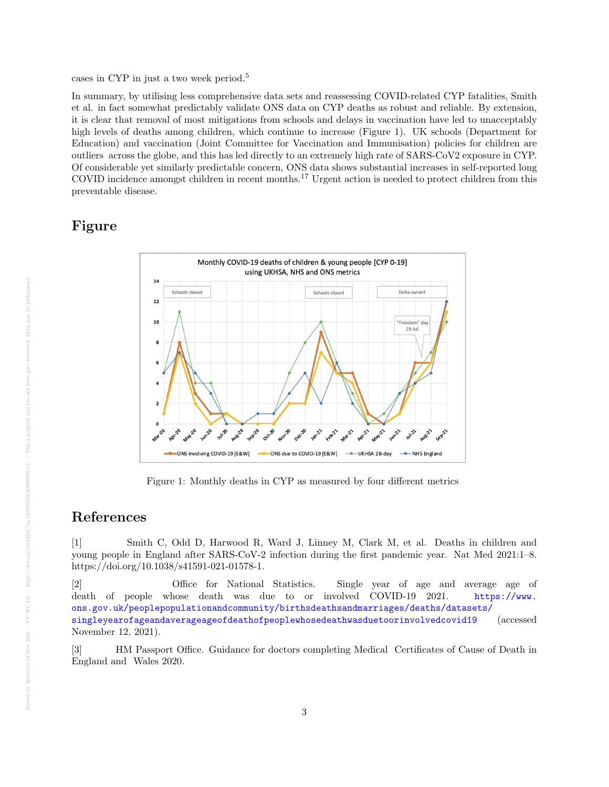In summary, by utilising less comprehensive data sets and reassessing COVID-related CYP fatalities, Smith et al. in fact somewhat predictably validate ONS data on CYP deaths as robust and reliable. By extension, it is clear that removal of most mitigations from schools and delays in vaccination have led to unacceptably high levels of deaths among children, which continue to increase (Figure 1). UK schools (Department for Education) and vaccination (Joint Committee for Vaccination and Immunisation) policies for children are outliers across the globe, and this has led directly to an extremely high rate of SARS-CoV2 exposure in CYP. Of considerable yet similarly predictable concern, ONS data shows substantial increases in self-reported long COVID incidence amongst children in recent months.<sup>17</sup> Urgent action is needed to protect children from this preventable disease.

## Figure



Figure 1: Monthly deaths in CYP as measured by four different metrics

## References

[1] Smith C, Odd D, Harwood R, Ward J, Linney M, Clark M, et al. Deaths in children and young people in England after SARS-CoV-2 infection during the first pandemic year. Nat Med 2021:1–8. https://doi.org/10.1038/s41591-021-01578-1.

[2] Office for National Statistics. Single year of age and average age of death of people whose death was due to or involved COVID-19 2021. [https://www.](https://www.ons.gov.uk/peoplepopulationandcommunity/birthsdeathsandmarriages/deaths/datasets/singleyearofageandaverageageofdeathofpeoplewhosedeathwasduetoorinvolvedcovid19) [ons.gov.uk/peoplepopulationandcommunity/birthsdeathsandmarriages/deaths/datasets/](https://www.ons.gov.uk/peoplepopulationandcommunity/birthsdeathsandmarriages/deaths/datasets/singleyearofageandaverageageofdeathofpeoplewhosedeathwasduetoorinvolvedcovid19) [singleyearofageandaverageageofdeathofpeoplewhosedeathwasduetoorinvolvedcovid19](https://www.ons.gov.uk/peoplepopulationandcommunity/birthsdeathsandmarriages/deaths/datasets/singleyearofageandaverageageofdeathofpeoplewhosedeathwasduetoorinvolvedcovid19) (accessed November 12, 2021).

[3] HM Passport Office. Guidance for doctors completing Medical Certificates of Cause of Death in England and Wales 2020.